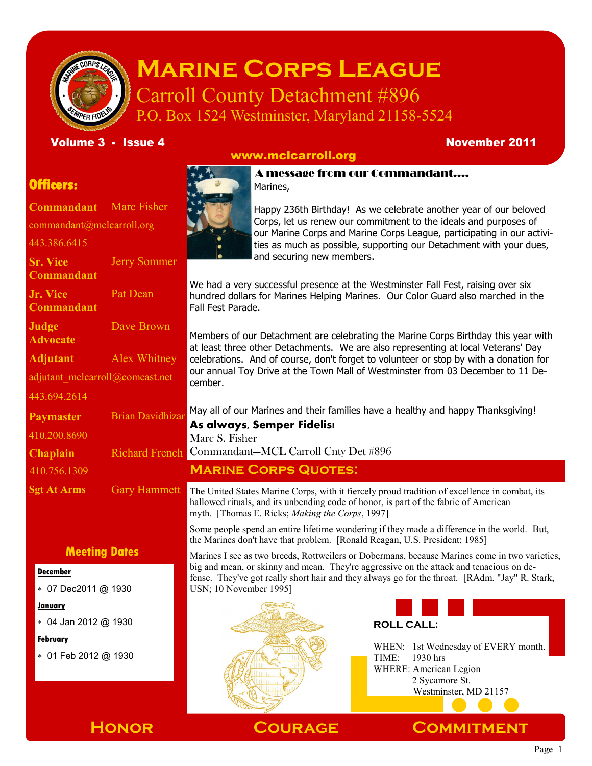

# **Marine Corps League** Carroll County Detachment #896

P.O. Box 1524 Westminster, Maryland 21158-5524

Volume 3 - Issue 4 November 2011

# www.mclcarroll.org

# **Officers:**

**Commandant** Marc Fisher commandant@mclcarroll.org 443.386.6415 **Sr. Vice Commandant** Jerry Sommer **Jr. Vice Commandant** Pat Dean **Judge Advocate** Dave Brown **Adjutant** Alex Whitney adjutant\_mclcarroll@comcast.net 443.694.2614 Paymaster Brian Davidhizar **Sgt At Arms** Gary Hammett 410.200.8690 410.756.1309

# **Meeting Dates**

### **December**

07 Dec2011 @ 1930

**January**

04 Jan 2012 @ 1930

## **February**

01 Feb 2012 @ 1930



Happy 236th Birthday! As we celebrate another year of our beloved Corps, let us renew our commitment to the ideals and purposes of our Marine Corps and Marine Corps League, participating in our activities as much as possible, supporting our Detachment with your dues, and securing new members.

We had a very successful presence at the Westminster Fall Fest, raising over six hundred dollars for Marines Helping Marines. Our Color Guard also marched in the Fall Fest Parade.

Members of our Detachment are celebrating the Marine Corps Birthday this year with at least three other Detachments. We are also representing at local Veterans' Day celebrations. And of course, don't forget to volunteer or stop by with a donation for our annual Toy Drive at the Town Mall of Westminster from 03 December to 11 December.

May all of our Marines and their families have a healthy and happy Thanksgiving!

**As always, Semper Fidelis!**

Marc S. Fisher

**Chaplain** Richard French Commandant—MCL Carroll Cnty Det #896

# **Marine Corps Quotes:**

The United States Marine Corps, with it fiercely proud tradition of excellence in combat, its hallowed rituals, and its unbending code of honor, is part of the fabric of American myth. [Thomas E. Ricks; *Making the Corps*, 1997]

Some people spend an entire lifetime wondering if they made a difference in the world. But, the Marines don't have that problem. [Ronald Reagan, U.S. President; 1985]

Marines I see as two breeds, Rottweilers or Dobermans, because Marines come in two varieties, big and mean, or skinny and mean. They're aggressive on the attack and tenacious on defense. They've got really short hair and they always go for the throat. [RAdm. "Jay" R. Stark, USN; 10 November 1995]





WHEN: 1st Wednesday of EVERY month. TIME: 1930 hrs WHERE: American Legion 2 Sycamore St. Westminster, MD 21157



**Honor Courage Commitment**